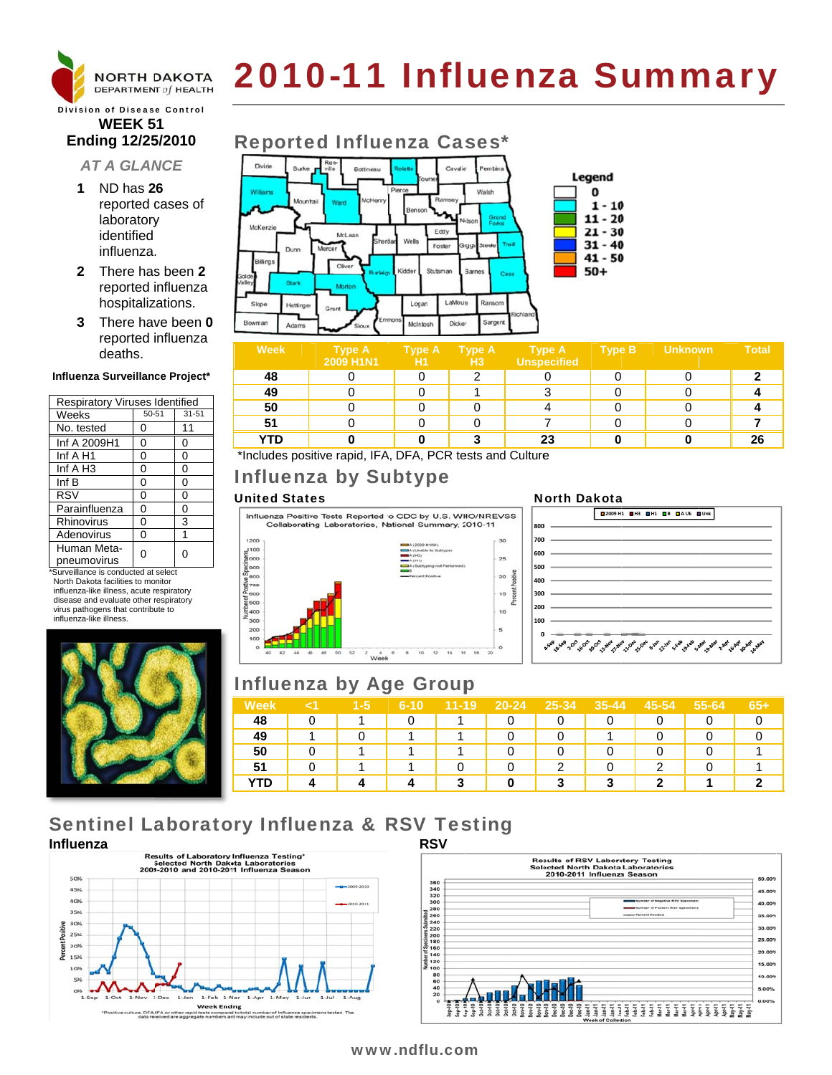

# 2010-11 Influenza Summary

### **Division of Disease Control WEEK 51** Ending 12/25/2010

### **AT A GLANCE**

- 1 ND has 26 reported cases of laboratory identified influenza.
- 2 There has been 2 reported influenza hospitalizations.
- 3 There have been 0 reported influenza deaths.

### Influenza Surveillance Project\*

| <b>Respiratory Viruses Identified</b> |       |           |  |  |  |  |
|---------------------------------------|-------|-----------|--|--|--|--|
| Weeks                                 | 50-51 | $31 - 51$ |  |  |  |  |
| No. tested                            | 0     | 11        |  |  |  |  |
| Inf A 2009H1                          | 0     | 0         |  |  |  |  |
| Inf A H1                              | 0     | 0         |  |  |  |  |
| Inf $A$ H <sub>3</sub>                | 0     | 0         |  |  |  |  |
| Inf B                                 | 0     | 0         |  |  |  |  |
| <b>RSV</b>                            | 0     | 0         |  |  |  |  |
| Parainfluenza                         | 0     | 0         |  |  |  |  |
| Rhinovirus                            | 0     | 3         |  |  |  |  |
| Adenovirus                            | 0     | 1         |  |  |  |  |
| Human Meta-                           |       | U         |  |  |  |  |
| pneumovirus                           |       |           |  |  |  |  |

\*Surveillance is conducted at select North Dakota facilities to monitor influenza-like illness, acute respiratory disease and evaluate other respiratory virus pathogens that contribute to influenza-like illness.



## **Reported Influenza Cases\***



| <b>Week</b>                                                                                                                                                                                                                                                                                                                                                                                             | <b>Type A</b><br>2009 H1N1 | <b>Type A</b><br>H1 | <b>Type A</b><br>H <sub>3</sub> | <b>Type A</b><br>Unspecified | <b>Type B</b> | <b>Unknown</b> | <b>Total</b> |
|---------------------------------------------------------------------------------------------------------------------------------------------------------------------------------------------------------------------------------------------------------------------------------------------------------------------------------------------------------------------------------------------------------|----------------------------|---------------------|---------------------------------|------------------------------|---------------|----------------|--------------|
| 48                                                                                                                                                                                                                                                                                                                                                                                                      |                            |                     | ◠                               |                              |               |                |              |
| 49                                                                                                                                                                                                                                                                                                                                                                                                      |                            |                     |                                 |                              |               |                |              |
| 50                                                                                                                                                                                                                                                                                                                                                                                                      |                            |                     |                                 |                              |               |                |              |
| 51                                                                                                                                                                                                                                                                                                                                                                                                      |                            |                     |                                 |                              |               |                |              |
| <b>YTD</b>                                                                                                                                                                                                                                                                                                                                                                                              |                            |                     |                                 | 23                           |               |                | 26           |
| $\cdots$<br>$\cdot$ $\cdot$ $\cdot$ $\cdot$<br>$\sim$<br>. .<br>$\mathbf{r}$ $\mathbf{r}$ $\mathbf{r}$ $\mathbf{r}$ $\mathbf{r}$ $\mathbf{r}$ $\mathbf{r}$ $\mathbf{r}$ $\mathbf{r}$ $\mathbf{r}$ $\mathbf{r}$ $\mathbf{r}$ $\mathbf{r}$ $\mathbf{r}$ $\mathbf{r}$ $\mathbf{r}$ $\mathbf{r}$ $\mathbf{r}$ $\mathbf{r}$ $\mathbf{r}$ $\mathbf{r}$ $\mathbf{r}$ $\mathbf{r}$ $\mathbf{r}$ $\mathbf{$<br>. |                            |                     |                                 |                              |               |                |              |

\*Includes positive rapid, IFA, DFA, PCR tests and Culture

# **Influenza by Subtype**

### **United States**

Influenza Positive Tests Reported to CDC by U.S. WHO/NREVSS Collaborating Laboratories, National Summary, 2010-11



### **North Dakota**



# **Influenza by Age Group**

| ' Week     | $1 - 5$ | 6-10 | $11 - 19$ | $20 - 24$ | 25-34 | $35 - 44$ | 45-54 | 55-64 | 65+ |
|------------|---------|------|-----------|-----------|-------|-----------|-------|-------|-----|
| 48         |         |      |           |           |       |           |       |       |     |
| 49         |         |      |           |           |       |           |       |       |     |
| 50         |         |      |           |           |       |           |       |       |     |
| е.         |         |      |           |           | ◠     |           | ີ     |       |     |
| <b>YTD</b> |         |      |           |           |       | ິ         | o     |       |     |

# **Sentinel Laboratory Influenza & RSV Testing**





### www.ndflu.com